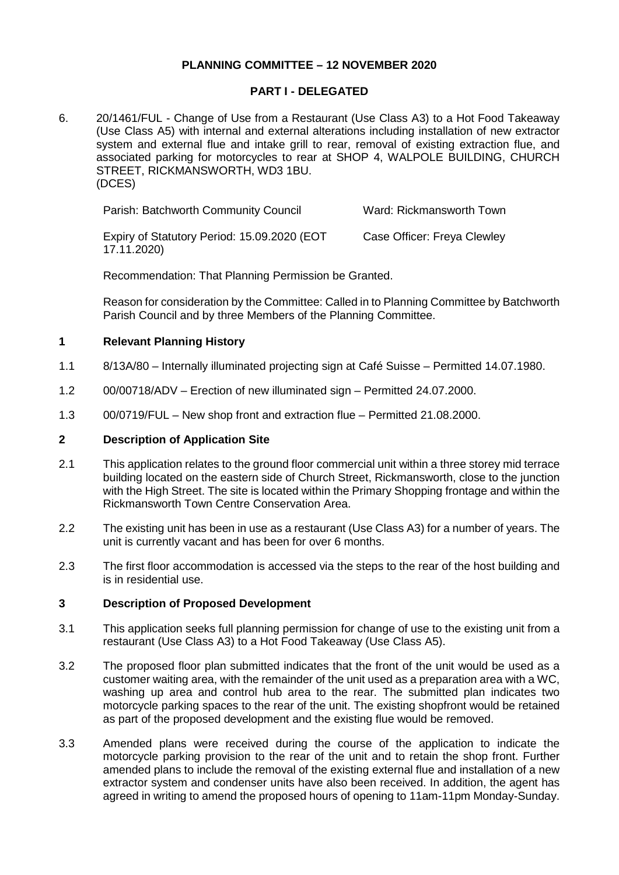# **PLANNING COMMITTEE – 12 NOVEMBER 2020**

## **PART I - DELEGATED**

6. 20/1461/FUL - Change of Use from a Restaurant (Use Class A3) to a Hot Food Takeaway (Use Class A5) with internal and external alterations including installation of new extractor system and external flue and intake grill to rear, removal of existing extraction flue, and associated parking for motorcycles to rear at SHOP 4, WALPOLE BUILDING, CHURCH STREET, RICKMANSWORTH, WD3 1BU. (DCES)

| Parish: Batchworth Community Council                       | Ward: Rickmansworth Town    |
|------------------------------------------------------------|-----------------------------|
| Expiry of Statutory Period: 15.09.2020 (EOT<br>17.11.2020) | Case Officer: Freya Clewley |

Recommendation: That Planning Permission be Granted.

Reason for consideration by the Committee: Called in to Planning Committee by Batchworth Parish Council and by three Members of the Planning Committee.

# **1 Relevant Planning History**

- 1.1 8/13A/80 Internally illuminated projecting sign at Café Suisse Permitted 14.07.1980.
- 1.2 00/00718/ADV Erection of new illuminated sign Permitted 24.07.2000.
- 1.3 00/0719/FUL New shop front and extraction flue Permitted 21.08.2000.

# **2 Description of Application Site**

- 2.1 This application relates to the ground floor commercial unit within a three storey mid terrace building located on the eastern side of Church Street, Rickmansworth, close to the junction with the High Street. The site is located within the Primary Shopping frontage and within the Rickmansworth Town Centre Conservation Area.
- 2.2 The existing unit has been in use as a restaurant (Use Class A3) for a number of years. The unit is currently vacant and has been for over 6 months.
- 2.3 The first floor accommodation is accessed via the steps to the rear of the host building and is in residential use.

# **3 Description of Proposed Development**

- 3.1 This application seeks full planning permission for change of use to the existing unit from a restaurant (Use Class A3) to a Hot Food Takeaway (Use Class A5).
- 3.2 The proposed floor plan submitted indicates that the front of the unit would be used as a customer waiting area, with the remainder of the unit used as a preparation area with a WC, washing up area and control hub area to the rear. The submitted plan indicates two motorcycle parking spaces to the rear of the unit. The existing shopfront would be retained as part of the proposed development and the existing flue would be removed.
- 3.3 Amended plans were received during the course of the application to indicate the motorcycle parking provision to the rear of the unit and to retain the shop front. Further amended plans to include the removal of the existing external flue and installation of a new extractor system and condenser units have also been received. In addition, the agent has agreed in writing to amend the proposed hours of opening to 11am-11pm Monday-Sunday.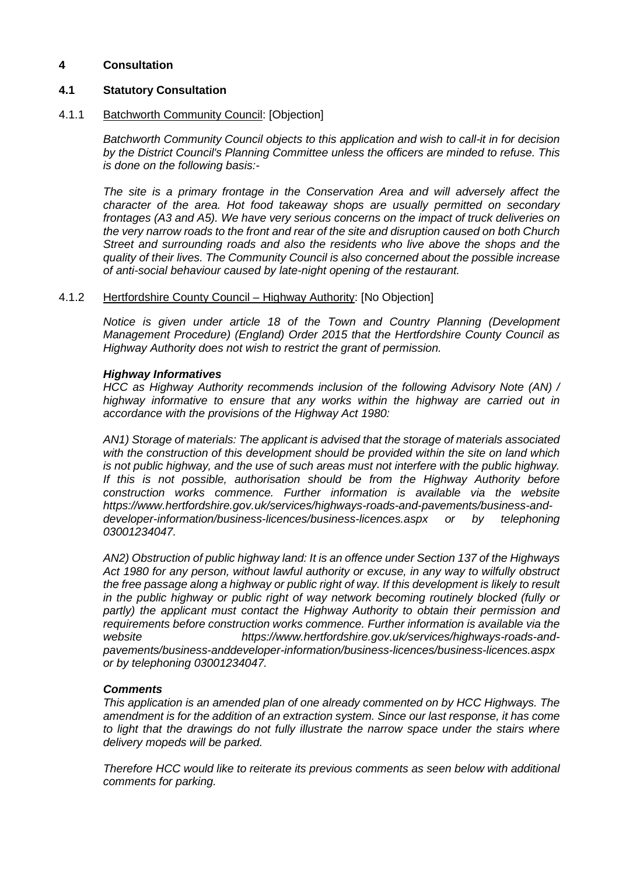# **4 Consultation**

## **4.1 Statutory Consultation**

### 4.1.1 Batchworth Community Council: [Objection]

*Batchworth Community Council objects to this application and wish to call-it in for decision by the District Council's Planning Committee unless the officers are minded to refuse. This is done on the following basis:-*

*The site is a primary frontage in the Conservation Area and will adversely affect the character of the area. Hot food takeaway shops are usually permitted on secondary frontages (A3 and A5). We have very serious concerns on the impact of truck deliveries on the very narrow roads to the front and rear of the site and disruption caused on both Church Street and surrounding roads and also the residents who live above the shops and the quality of their lives. The Community Council is also concerned about the possible increase of anti-social behaviour caused by late-night opening of the restaurant.*

### 4.1.2 Hertfordshire County Council – Highway Authority: [No Objection]

*Notice is given under article 18 of the Town and Country Planning (Development Management Procedure) (England) Order 2015 that the Hertfordshire County Council as Highway Authority does not wish to restrict the grant of permission.*

### *Highway Informatives*

*HCC as Highway Authority recommends inclusion of the following Advisory Note (AN) / highway informative to ensure that any works within the highway are carried out in accordance with the provisions of the Highway Act 1980:*

*AN1) Storage of materials: The applicant is advised that the storage of materials associated with the construction of this development should be provided within the site on land which is not public highway, and the use of such areas must not interfere with the public highway. If this is not possible, authorisation should be from the Highway Authority before construction works commence. Further information is available via the website https://www.hertfordshire.gov.uk/services/highways-roads-and-pavements/business-anddeveloper-information/business-licences/business-licences.aspx or by telephoning 03001234047.* 

*AN2) Obstruction of public highway land: It is an offence under Section 137 of the Highways Act 1980 for any person, without lawful authority or excuse, in any way to wilfully obstruct the free passage along a highway or public right of way. If this development is likely to result in the public highway or public right of way network becoming routinely blocked (fully or partly) the applicant must contact the Highway Authority to obtain their permission and requirements before construction works commence. Further information is available via the website https://www.hertfordshire.gov.uk/services/highways-roads-andpavements/business-anddeveloper-information/business-licences/business-licences.aspx or by telephoning 03001234047.* 

### *Comments*

*This application is an amended plan of one already commented on by HCC Highways. The amendment is for the addition of an extraction system. Since our last response, it has come to light that the drawings do not fully illustrate the narrow space under the stairs where delivery mopeds will be parked.*

*Therefore HCC would like to reiterate its previous comments as seen below with additional comments for parking.*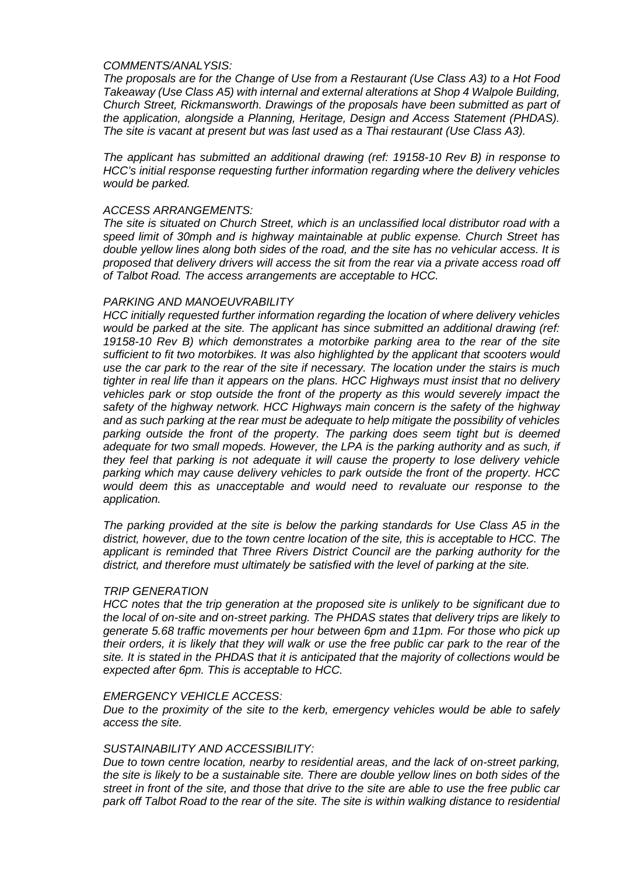### *COMMENTS/ANALYSIS:*

*The proposals are for the Change of Use from a Restaurant (Use Class A3) to a Hot Food Takeaway (Use Class A5) with internal and external alterations at Shop 4 Walpole Building, Church Street, Rickmansworth. Drawings of the proposals have been submitted as part of the application, alongside a Planning, Heritage, Design and Access Statement (PHDAS). The site is vacant at present but was last used as a Thai restaurant (Use Class A3).* 

*The applicant has submitted an additional drawing (ref: 19158-10 Rev B) in response to HCC's initial response requesting further information regarding where the delivery vehicles would be parked.*

### *ACCESS ARRANGEMENTS:*

*The site is situated on Church Street, which is an unclassified local distributor road with a speed limit of 30mph and is highway maintainable at public expense. Church Street has double yellow lines along both sides of the road, and the site has no vehicular access. It is proposed that delivery drivers will access the sit from the rear via a private access road off of Talbot Road. The access arrangements are acceptable to HCC.*

### *PARKING AND MANOEUVRABILITY*

*HCC initially requested further information regarding the location of where delivery vehicles would be parked at the site. The applicant has since submitted an additional drawing (ref: 19158-10 Rev B) which demonstrates a motorbike parking area to the rear of the site sufficient to fit two motorbikes. It was also highlighted by the applicant that scooters would use the car park to the rear of the site if necessary. The location under the stairs is much tighter in real life than it appears on the plans. HCC Highways must insist that no delivery vehicles park or stop outside the front of the property as this would severely impact the safety of the highway network. HCC Highways main concern is the safety of the highway and as such parking at the rear must be adequate to help mitigate the possibility of vehicles parking outside the front of the property. The parking does seem tight but is deemed adequate for two small mopeds. However, the LPA is the parking authority and as such, if they feel that parking is not adequate it will cause the property to lose delivery vehicle parking which may cause delivery vehicles to park outside the front of the property. HCC would deem this as unacceptable and would need to revaluate our response to the application.* 

*The parking provided at the site is below the parking standards for Use Class A5 in the district, however, due to the town centre location of the site, this is acceptable to HCC. The applicant is reminded that Three Rivers District Council are the parking authority for the district, and therefore must ultimately be satisfied with the level of parking at the site.* 

### *TRIP GENERATION*

*HCC notes that the trip generation at the proposed site is unlikely to be significant due to the local of on-site and on-street parking. The PHDAS states that delivery trips are likely to generate 5.68 traffic movements per hour between 6pm and 11pm. For those who pick up their orders, it is likely that they will walk or use the free public car park to the rear of the site. It is stated in the PHDAS that it is anticipated that the majority of collections would be expected after 6pm. This is acceptable to HCC.* 

#### *EMERGENCY VEHICLE ACCESS:*

*Due to the proximity of the site to the kerb, emergency vehicles would be able to safely access the site.* 

### *SUSTAINABILITY AND ACCESSIBILITY:*

*Due to town centre location, nearby to residential areas, and the lack of on-street parking, the site is likely to be a sustainable site. There are double yellow lines on both sides of the street in front of the site, and those that drive to the site are able to use the free public car park off Talbot Road to the rear of the site. The site is within walking distance to residential*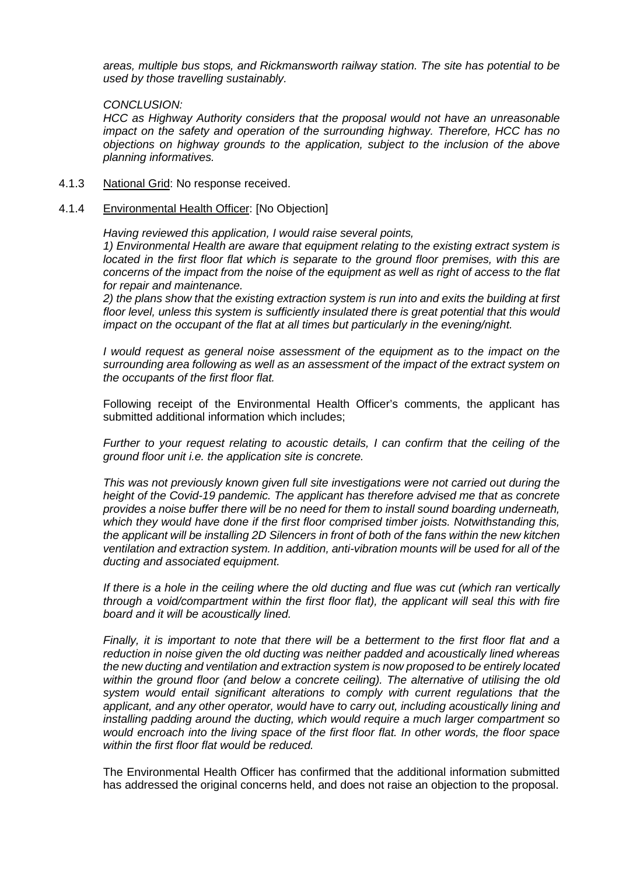*areas, multiple bus stops, and Rickmansworth railway station. The site has potential to be used by those travelling sustainably.* 

### *CONCLUSION:*

*HCC as Highway Authority considers that the proposal would not have an unreasonable impact on the safety and operation of the surrounding highway. Therefore, HCC has no objections on highway grounds to the application, subject to the inclusion of the above planning informatives.* 

4.1.3 National Grid: No response received.

# 4.1.4 Environmental Health Officer: [No Objection]

*Having reviewed this application, I would raise several points,* 

*1) Environmental Health are aware that equipment relating to the existing extract system is located in the first floor flat which is separate to the ground floor premises, with this are concerns of the impact from the noise of the equipment as well as right of access to the flat for repair and maintenance.*

*2) the plans show that the existing extraction system is run into and exits the building at first floor level, unless this system is sufficiently insulated there is great potential that this would impact on the occupant of the flat at all times but particularly in the evening/night.*

*I* would request as general noise assessment of the equipment as to the impact on the *surrounding area following as well as an assessment of the impact of the extract system on the occupants of the first floor flat.*

Following receipt of the Environmental Health Officer's comments, the applicant has submitted additional information which includes;

*Further to your request relating to acoustic details, I can confirm that the ceiling of the ground floor unit i.e. the application site is concrete.*

*This was not previously known given full site investigations were not carried out during the height of the Covid-19 pandemic. The applicant has therefore advised me that as concrete provides a noise buffer there will be no need for them to install sound boarding underneath, which they would have done if the first floor comprised timber joists. Notwithstanding this, the applicant will be installing 2D Silencers in front of both of the fans within the new kitchen ventilation and extraction system. In addition, anti-vibration mounts will be used for all of the ducting and associated equipment.*

*If there is a hole in the ceiling where the old ducting and flue was cut (which ran vertically through a void/compartment within the first floor flat), the applicant will seal this with fire board and it will be acoustically lined.*

*Finally, it is important to note that there will be a betterment to the first floor flat and a reduction in noise given the old ducting was neither padded and acoustically lined whereas the new ducting and ventilation and extraction system is now proposed to be entirely located within the ground floor (and below a concrete ceiling). The alternative of utilising the old system would entail significant alterations to comply with current regulations that the applicant, and any other operator, would have to carry out, including acoustically lining and installing padding around the ducting, which would require a much larger compartment so would encroach into the living space of the first floor flat. In other words, the floor space within the first floor flat would be reduced.*

The Environmental Health Officer has confirmed that the additional information submitted has addressed the original concerns held, and does not raise an objection to the proposal.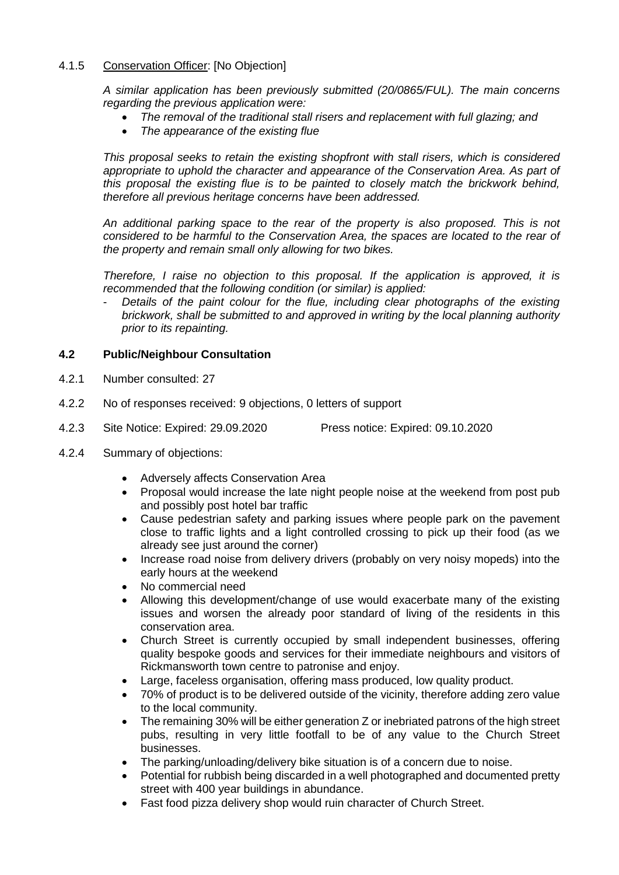# 4.1.5 Conservation Officer: [No Objection]

*A similar application has been previously submitted (20/0865/FUL). The main concerns regarding the previous application were:*

- *The removal of the traditional stall risers and replacement with full glazing; and*
- *The appearance of the existing flue*

*This proposal seeks to retain the existing shopfront with stall risers, which is considered appropriate to uphold the character and appearance of the Conservation Area. As part of this proposal the existing flue is to be painted to closely match the brickwork behind, therefore all previous heritage concerns have been addressed.*

*An additional parking space to the rear of the property is also proposed. This is not considered to be harmful to the Conservation Area, the spaces are located to the rear of the property and remain small only allowing for two bikes.*

*Therefore, I raise no objection to this proposal. If the application is approved, it is recommended that the following condition (or similar) is applied:*

Details of the paint colour for the flue, including clear photographs of the existing *brickwork, shall be submitted to and approved in writing by the local planning authority prior to its repainting.* 

# **4.2 Public/Neighbour Consultation**

- 4.2.1 Number consulted: 27
- 4.2.2 No of responses received: 9 objections, 0 letters of support
- 4.2.3 Site Notice: Expired: 29.09.2020 Press notice: Expired: 09.10.2020
- 4.2.4 Summary of objections:
	- Adversely affects Conservation Area
	- Proposal would increase the late night people noise at the weekend from post pub and possibly post hotel bar traffic
	- Cause pedestrian safety and parking issues where people park on the pavement close to traffic lights and a light controlled crossing to pick up their food (as we already see just around the corner)
	- Increase road noise from delivery drivers (probably on very noisy mopeds) into the early hours at the weekend
	- No commercial need
	- Allowing this development/change of use would exacerbate many of the existing issues and worsen the already poor standard of living of the residents in this conservation area.
	- Church Street is currently occupied by small independent businesses, offering quality bespoke goods and services for their immediate neighbours and visitors of Rickmansworth town centre to patronise and enjoy.
	- Large, faceless organisation, offering mass produced, low quality product.
	- 70% of product is to be delivered outside of the vicinity, therefore adding zero value to the local community.
	- The remaining 30% will be either generation Z or inebriated patrons of the high street pubs, resulting in very little footfall to be of any value to the Church Street businesses.
	- The parking/unloading/delivery bike situation is of a concern due to noise.
	- Potential for rubbish being discarded in a well photographed and documented pretty street with 400 year buildings in abundance.
	- Fast food pizza delivery shop would ruin character of Church Street.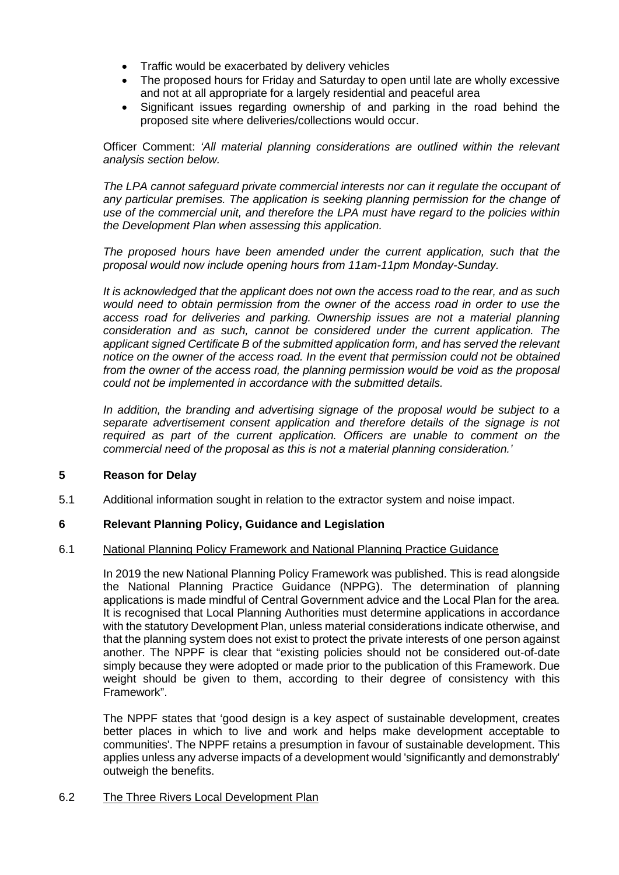- Traffic would be exacerbated by delivery vehicles
- The proposed hours for Friday and Saturday to open until late are wholly excessive and not at all appropriate for a largely residential and peaceful area
- Significant issues regarding ownership of and parking in the road behind the proposed site where deliveries/collections would occur.

Officer Comment: *'All material planning considerations are outlined within the relevant analysis section below.* 

*The LPA cannot safeguard private commercial interests nor can it regulate the occupant of any particular premises. The application is seeking planning permission for the change of use of the commercial unit, and therefore the LPA must have regard to the policies within the Development Plan when assessing this application.*

*The proposed hours have been amended under the current application, such that the proposal would now include opening hours from 11am-11pm Monday-Sunday.* 

*It is acknowledged that the applicant does not own the access road to the rear, and as such would need to obtain permission from the owner of the access road in order to use the access road for deliveries and parking. Ownership issues are not a material planning consideration and as such, cannot be considered under the current application. The applicant signed Certificate B of the submitted application form, and has served the relevant notice on the owner of the access road. In the event that permission could not be obtained from the owner of the access road, the planning permission would be void as the proposal could not be implemented in accordance with the submitted details.*

*In addition, the branding and advertising signage of the proposal would be subject to a separate advertisement consent application and therefore details of the signage is not required as part of the current application. Officers are unable to comment on the commercial need of the proposal as this is not a material planning consideration.'*

# **5 Reason for Delay**

5.1 Additional information sought in relation to the extractor system and noise impact.

# **6 Relevant Planning Policy, Guidance and Legislation**

# 6.1 National Planning Policy Framework and National Planning Practice Guidance

In 2019 the new National Planning Policy Framework was published. This is read alongside the National Planning Practice Guidance (NPPG). The determination of planning applications is made mindful of Central Government advice and the Local Plan for the area. It is recognised that Local Planning Authorities must determine applications in accordance with the statutory Development Plan, unless material considerations indicate otherwise, and that the planning system does not exist to protect the private interests of one person against another. The NPPF is clear that "existing policies should not be considered out-of-date simply because they were adopted or made prior to the publication of this Framework. Due weight should be given to them, according to their degree of consistency with this Framework".

The NPPF states that 'good design is a key aspect of sustainable development, creates better places in which to live and work and helps make development acceptable to communities'. The NPPF retains a presumption in favour of sustainable development. This applies unless any adverse impacts of a development would 'significantly and demonstrably' outweigh the benefits.

# 6.2 The Three Rivers Local Development Plan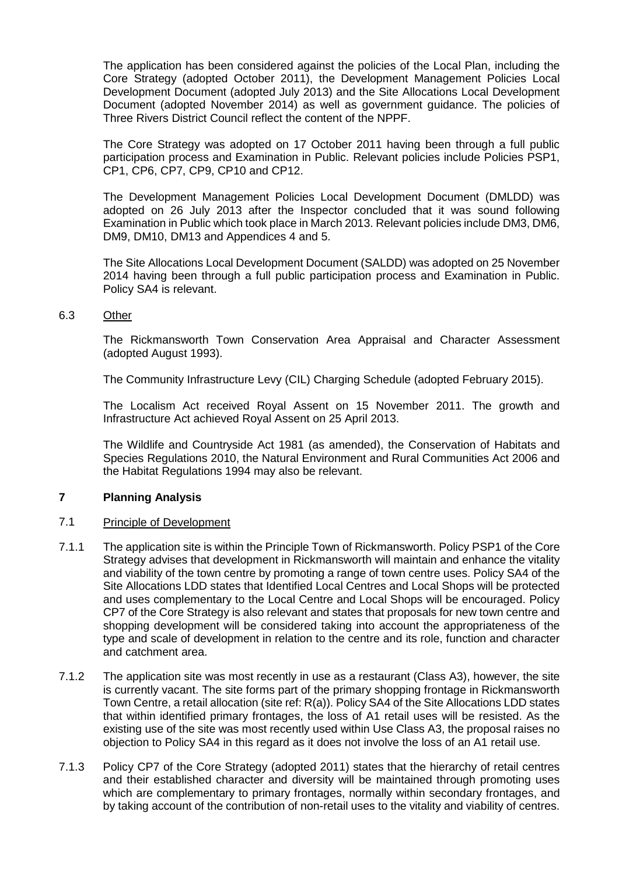The application has been considered against the policies of the Local Plan, including the Core Strategy (adopted October 2011), the Development Management Policies Local Development Document (adopted July 2013) and the Site Allocations Local Development Document (adopted November 2014) as well as government guidance. The policies of Three Rivers District Council reflect the content of the NPPF.

The Core Strategy was adopted on 17 October 2011 having been through a full public participation process and Examination in Public. Relevant policies include Policies PSP1, CP1, CP6, CP7, CP9, CP10 and CP12.

The Development Management Policies Local Development Document (DMLDD) was adopted on 26 July 2013 after the Inspector concluded that it was sound following Examination in Public which took place in March 2013. Relevant policies include DM3, DM6, DM9, DM10, DM13 and Appendices 4 and 5.

The Site Allocations Local Development Document (SALDD) was adopted on 25 November 2014 having been through a full public participation process and Examination in Public. Policy SA4 is relevant.

### 6.3 Other

The Rickmansworth Town Conservation Area Appraisal and Character Assessment (adopted August 1993).

The Community Infrastructure Levy (CIL) Charging Schedule (adopted February 2015).

The Localism Act received Royal Assent on 15 November 2011. The growth and Infrastructure Act achieved Royal Assent on 25 April 2013.

The Wildlife and Countryside Act 1981 (as amended), the Conservation of Habitats and Species Regulations 2010, the Natural Environment and Rural Communities Act 2006 and the Habitat Regulations 1994 may also be relevant.

# **7 Planning Analysis**

### 7.1 Principle of Development

- 7.1.1 The application site is within the Principle Town of Rickmansworth. Policy PSP1 of the Core Strategy advises that development in Rickmansworth will maintain and enhance the vitality and viability of the town centre by promoting a range of town centre uses. Policy SA4 of the Site Allocations LDD states that Identified Local Centres and Local Shops will be protected and uses complementary to the Local Centre and Local Shops will be encouraged. Policy CP7 of the Core Strategy is also relevant and states that proposals for new town centre and shopping development will be considered taking into account the appropriateness of the type and scale of development in relation to the centre and its role, function and character and catchment area.
- 7.1.2 The application site was most recently in use as a restaurant (Class A3), however, the site is currently vacant. The site forms part of the primary shopping frontage in Rickmansworth Town Centre, a retail allocation (site ref: R(a)). Policy SA4 of the Site Allocations LDD states that within identified primary frontages, the loss of A1 retail uses will be resisted. As the existing use of the site was most recently used within Use Class A3, the proposal raises no objection to Policy SA4 in this regard as it does not involve the loss of an A1 retail use.
- 7.1.3 Policy CP7 of the Core Strategy (adopted 2011) states that the hierarchy of retail centres and their established character and diversity will be maintained through promoting uses which are complementary to primary frontages, normally within secondary frontages, and by taking account of the contribution of non-retail uses to the vitality and viability of centres.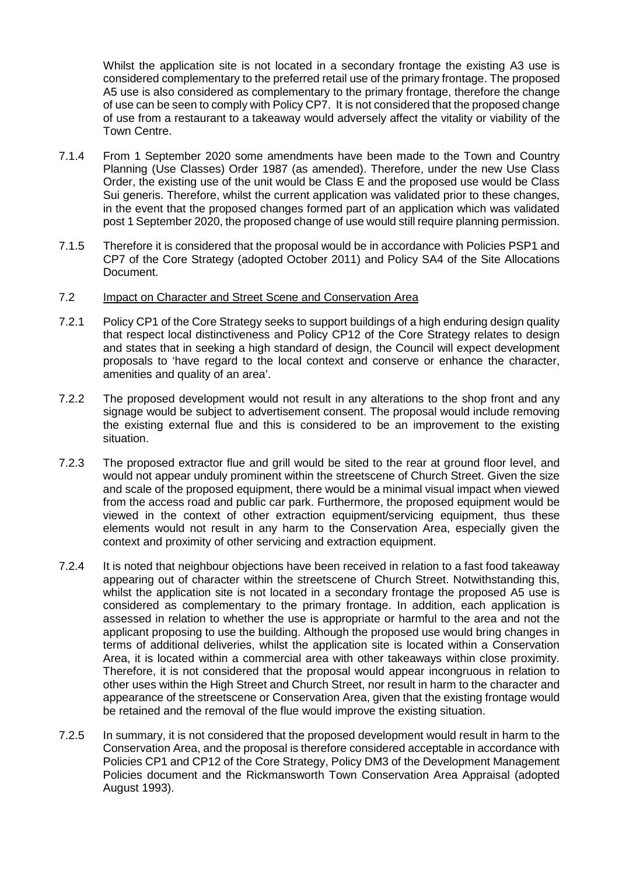Whilst the application site is not located in a secondary frontage the existing A3 use is considered complementary to the preferred retail use of the primary frontage. The proposed A5 use is also considered as complementary to the primary frontage, therefore the change of use can be seen to comply with Policy CP7. It is not considered that the proposed change of use from a restaurant to a takeaway would adversely affect the vitality or viability of the Town Centre.

- 7.1.4 From 1 September 2020 some amendments have been made to the Town and Country Planning (Use Classes) Order 1987 (as amended). Therefore, under the new Use Class Order, the existing use of the unit would be Class E and the proposed use would be Class Sui generis. Therefore, whilst the current application was validated prior to these changes, in the event that the proposed changes formed part of an application which was validated post 1 September 2020, the proposed change of use would still require planning permission.
- 7.1.5 Therefore it is considered that the proposal would be in accordance with Policies PSP1 and CP7 of the Core Strategy (adopted October 2011) and Policy SA4 of the Site Allocations Document.

### 7.2 Impact on Character and Street Scene and Conservation Area

- 7.2.1 Policy CP1 of the Core Strategy seeks to support buildings of a high enduring design quality that respect local distinctiveness and Policy CP12 of the Core Strategy relates to design and states that in seeking a high standard of design, the Council will expect development proposals to 'have regard to the local context and conserve or enhance the character, amenities and quality of an area'.
- 7.2.2 The proposed development would not result in any alterations to the shop front and any signage would be subject to advertisement consent. The proposal would include removing the existing external flue and this is considered to be an improvement to the existing situation.
- 7.2.3 The proposed extractor flue and grill would be sited to the rear at ground floor level, and would not appear unduly prominent within the streetscene of Church Street. Given the size and scale of the proposed equipment, there would be a minimal visual impact when viewed from the access road and public car park. Furthermore, the proposed equipment would be viewed in the context of other extraction equipment/servicing equipment, thus these elements would not result in any harm to the Conservation Area, especially given the context and proximity of other servicing and extraction equipment.
- 7.2.4 It is noted that neighbour objections have been received in relation to a fast food takeaway appearing out of character within the streetscene of Church Street. Notwithstanding this, whilst the application site is not located in a secondary frontage the proposed A5 use is considered as complementary to the primary frontage. In addition, each application is assessed in relation to whether the use is appropriate or harmful to the area and not the applicant proposing to use the building. Although the proposed use would bring changes in terms of additional deliveries, whilst the application site is located within a Conservation Area, it is located within a commercial area with other takeaways within close proximity. Therefore, it is not considered that the proposal would appear incongruous in relation to other uses within the High Street and Church Street, nor result in harm to the character and appearance of the streetscene or Conservation Area, given that the existing frontage would be retained and the removal of the flue would improve the existing situation.
- 7.2.5 In summary, it is not considered that the proposed development would result in harm to the Conservation Area, and the proposal is therefore considered acceptable in accordance with Policies CP1 and CP12 of the Core Strategy, Policy DM3 of the Development Management Policies document and the Rickmansworth Town Conservation Area Appraisal (adopted August 1993).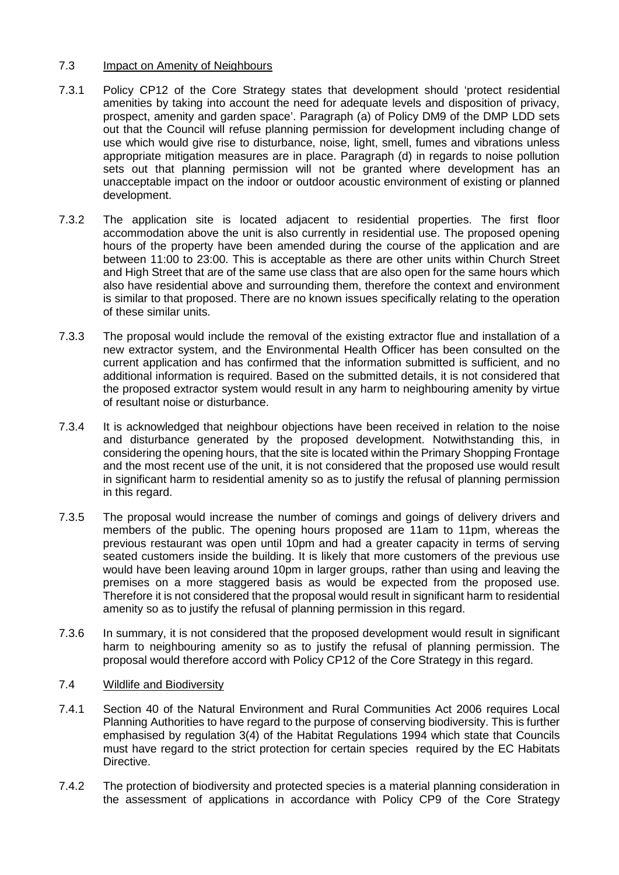### 7.3 Impact on Amenity of Neighbours

- 7.3.1 Policy CP12 of the Core Strategy states that development should 'protect residential amenities by taking into account the need for adequate levels and disposition of privacy, prospect, amenity and garden space'. Paragraph (a) of Policy DM9 of the DMP LDD sets out that the Council will refuse planning permission for development including change of use which would give rise to disturbance, noise, light, smell, fumes and vibrations unless appropriate mitigation measures are in place. Paragraph (d) in regards to noise pollution sets out that planning permission will not be granted where development has an unacceptable impact on the indoor or outdoor acoustic environment of existing or planned development.
- 7.3.2 The application site is located adjacent to residential properties. The first floor accommodation above the unit is also currently in residential use. The proposed opening hours of the property have been amended during the course of the application and are between 11:00 to 23:00. This is acceptable as there are other units within Church Street and High Street that are of the same use class that are also open for the same hours which also have residential above and surrounding them, therefore the context and environment is similar to that proposed. There are no known issues specifically relating to the operation of these similar units.
- 7.3.3 The proposal would include the removal of the existing extractor flue and installation of a new extractor system, and the Environmental Health Officer has been consulted on the current application and has confirmed that the information submitted is sufficient, and no additional information is required. Based on the submitted details, it is not considered that the proposed extractor system would result in any harm to neighbouring amenity by virtue of resultant noise or disturbance.
- 7.3.4 It is acknowledged that neighbour objections have been received in relation to the noise and disturbance generated by the proposed development. Notwithstanding this, in considering the opening hours, that the site is located within the Primary Shopping Frontage and the most recent use of the unit, it is not considered that the proposed use would result in significant harm to residential amenity so as to justify the refusal of planning permission in this regard.
- 7.3.5 The proposal would increase the number of comings and goings of delivery drivers and members of the public. The opening hours proposed are 11am to 11pm, whereas the previous restaurant was open until 10pm and had a greater capacity in terms of serving seated customers inside the building. It is likely that more customers of the previous use would have been leaving around 10pm in larger groups, rather than using and leaving the premises on a more staggered basis as would be expected from the proposed use. Therefore it is not considered that the proposal would result in significant harm to residential amenity so as to justify the refusal of planning permission in this regard.
- 7.3.6 In summary, it is not considered that the proposed development would result in significant harm to neighbouring amenity so as to justify the refusal of planning permission. The proposal would therefore accord with Policy CP12 of the Core Strategy in this regard.

# 7.4 Wildlife and Biodiversity

- 7.4.1 Section 40 of the Natural Environment and Rural Communities Act 2006 requires Local Planning Authorities to have regard to the purpose of conserving biodiversity. This is further emphasised by regulation 3(4) of the Habitat Regulations 1994 which state that Councils must have regard to the strict protection for certain species required by the EC Habitats Directive.
- 7.4.2 The protection of biodiversity and protected species is a material planning consideration in the assessment of applications in accordance with Policy CP9 of the Core Strategy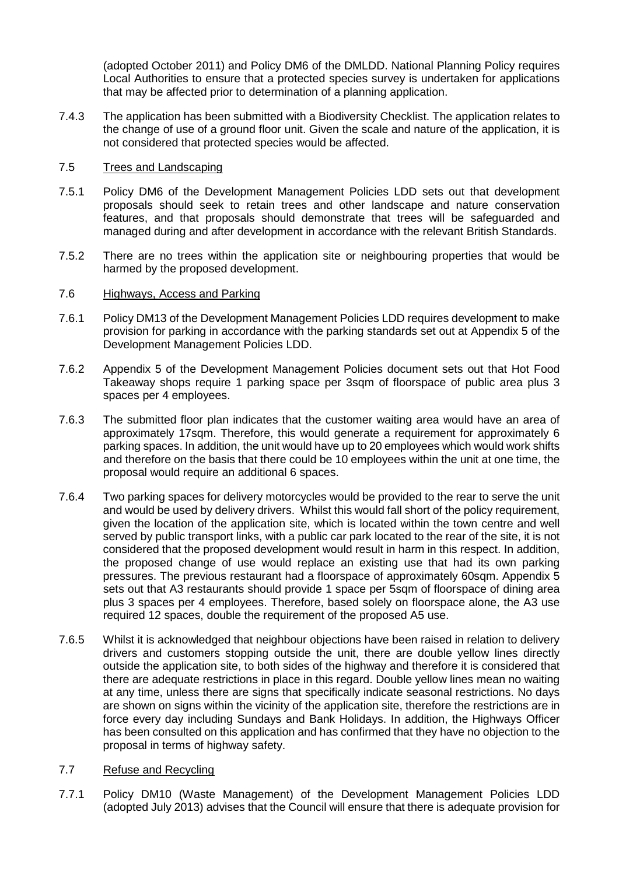(adopted October 2011) and Policy DM6 of the DMLDD. National Planning Policy requires Local Authorities to ensure that a protected species survey is undertaken for applications that may be affected prior to determination of a planning application.

7.4.3 The application has been submitted with a Biodiversity Checklist. The application relates to the change of use of a ground floor unit. Given the scale and nature of the application, it is not considered that protected species would be affected.

# 7.5 Trees and Landscaping

- 7.5.1 Policy DM6 of the Development Management Policies LDD sets out that development proposals should seek to retain trees and other landscape and nature conservation features, and that proposals should demonstrate that trees will be safeguarded and managed during and after development in accordance with the relevant British Standards.
- 7.5.2 There are no trees within the application site or neighbouring properties that would be harmed by the proposed development.

### 7.6 Highways, Access and Parking

- 7.6.1 Policy DM13 of the Development Management Policies LDD requires development to make provision for parking in accordance with the parking standards set out at Appendix 5 of the Development Management Policies LDD.
- 7.6.2 Appendix 5 of the Development Management Policies document sets out that Hot Food Takeaway shops require 1 parking space per 3sqm of floorspace of public area plus 3 spaces per 4 employees.
- 7.6.3 The submitted floor plan indicates that the customer waiting area would have an area of approximately 17sqm. Therefore, this would generate a requirement for approximately 6 parking spaces. In addition, the unit would have up to 20 employees which would work shifts and therefore on the basis that there could be 10 employees within the unit at one time, the proposal would require an additional 6 spaces.
- 7.6.4 Two parking spaces for delivery motorcycles would be provided to the rear to serve the unit and would be used by delivery drivers. Whilst this would fall short of the policy requirement, given the location of the application site, which is located within the town centre and well served by public transport links, with a public car park located to the rear of the site, it is not considered that the proposed development would result in harm in this respect. In addition, the proposed change of use would replace an existing use that had its own parking pressures. The previous restaurant had a floorspace of approximately 60sqm. Appendix 5 sets out that A3 restaurants should provide 1 space per 5sqm of floorspace of dining area plus 3 spaces per 4 employees. Therefore, based solely on floorspace alone, the A3 use required 12 spaces, double the requirement of the proposed A5 use.
- 7.6.5 Whilst it is acknowledged that neighbour objections have been raised in relation to delivery drivers and customers stopping outside the unit, there are double yellow lines directly outside the application site, to both sides of the highway and therefore it is considered that there are adequate restrictions in place in this regard. Double yellow lines mean no waiting at any time, unless there are signs that specifically indicate seasonal restrictions. No days are shown on signs within the vicinity of the application site, therefore the restrictions are in force every day including Sundays and Bank Holidays. In addition, the Highways Officer has been consulted on this application and has confirmed that they have no objection to the proposal in terms of highway safety.

## 7.7 Refuse and Recycling

7.7.1 Policy DM10 (Waste Management) of the Development Management Policies LDD (adopted July 2013) advises that the Council will ensure that there is adequate provision for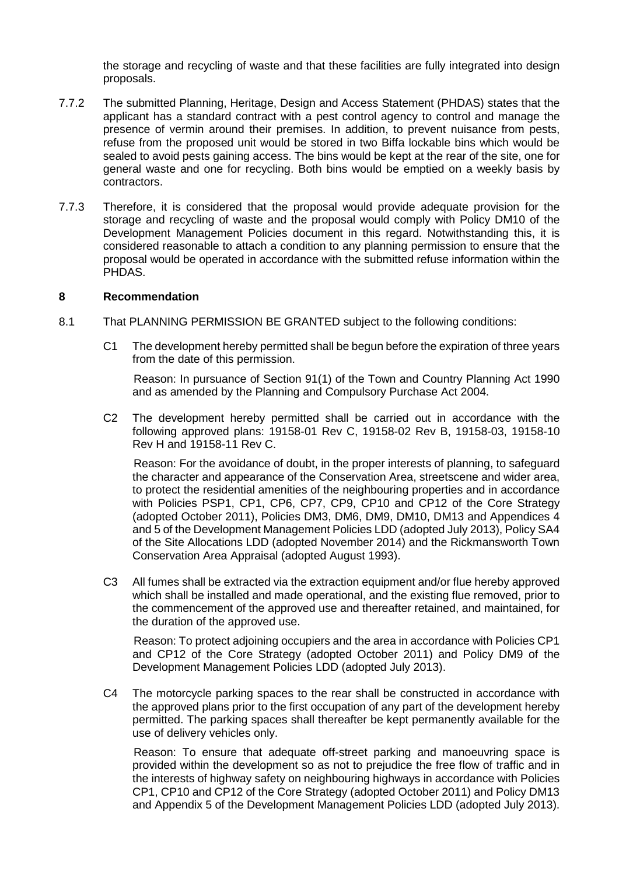the storage and recycling of waste and that these facilities are fully integrated into design proposals.

- 7.7.2 The submitted Planning, Heritage, Design and Access Statement (PHDAS) states that the applicant has a standard contract with a pest control agency to control and manage the presence of vermin around their premises. In addition, to prevent nuisance from pests, refuse from the proposed unit would be stored in two Biffa lockable bins which would be sealed to avoid pests gaining access. The bins would be kept at the rear of the site, one for general waste and one for recycling. Both bins would be emptied on a weekly basis by contractors.
- 7.7.3 Therefore, it is considered that the proposal would provide adequate provision for the storage and recycling of waste and the proposal would comply with Policy DM10 of the Development Management Policies document in this regard. Notwithstanding this, it is considered reasonable to attach a condition to any planning permission to ensure that the proposal would be operated in accordance with the submitted refuse information within the PHDAS.

### **8 Recommendation**

- 8.1 That PLANNING PERMISSION BE GRANTED subject to the following conditions:
	- C1 The development hereby permitted shall be begun before the expiration of three years from the date of this permission.

Reason: In pursuance of Section 91(1) of the Town and Country Planning Act 1990 and as amended by the Planning and Compulsory Purchase Act 2004.

C2 The development hereby permitted shall be carried out in accordance with the following approved plans: 19158-01 Rev C, 19158-02 Rev B, 19158-03, 19158-10 Rev H and 19158-11 Rev C.

Reason: For the avoidance of doubt, in the proper interests of planning, to safeguard the character and appearance of the Conservation Area, streetscene and wider area, to protect the residential amenities of the neighbouring properties and in accordance with Policies PSP1, CP1, CP6, CP7, CP9, CP10 and CP12 of the Core Strategy (adopted October 2011), Policies DM3, DM6, DM9, DM10, DM13 and Appendices 4 and 5 of the Development Management Policies LDD (adopted July 2013), Policy SA4 of the Site Allocations LDD (adopted November 2014) and the Rickmansworth Town Conservation Area Appraisal (adopted August 1993).

C3 All fumes shall be extracted via the extraction equipment and/or flue hereby approved which shall be installed and made operational, and the existing flue removed, prior to the commencement of the approved use and thereafter retained, and maintained, for the duration of the approved use.

Reason: To protect adjoining occupiers and the area in accordance with Policies CP1 and CP12 of the Core Strategy (adopted October 2011) and Policy DM9 of the Development Management Policies LDD (adopted July 2013).

C4 The motorcycle parking spaces to the rear shall be constructed in accordance with the approved plans prior to the first occupation of any part of the development hereby permitted. The parking spaces shall thereafter be kept permanently available for the use of delivery vehicles only.

Reason: To ensure that adequate off-street parking and manoeuvring space is provided within the development so as not to prejudice the free flow of traffic and in the interests of highway safety on neighbouring highways in accordance with Policies CP1, CP10 and CP12 of the Core Strategy (adopted October 2011) and Policy DM13 and Appendix 5 of the Development Management Policies LDD (adopted July 2013).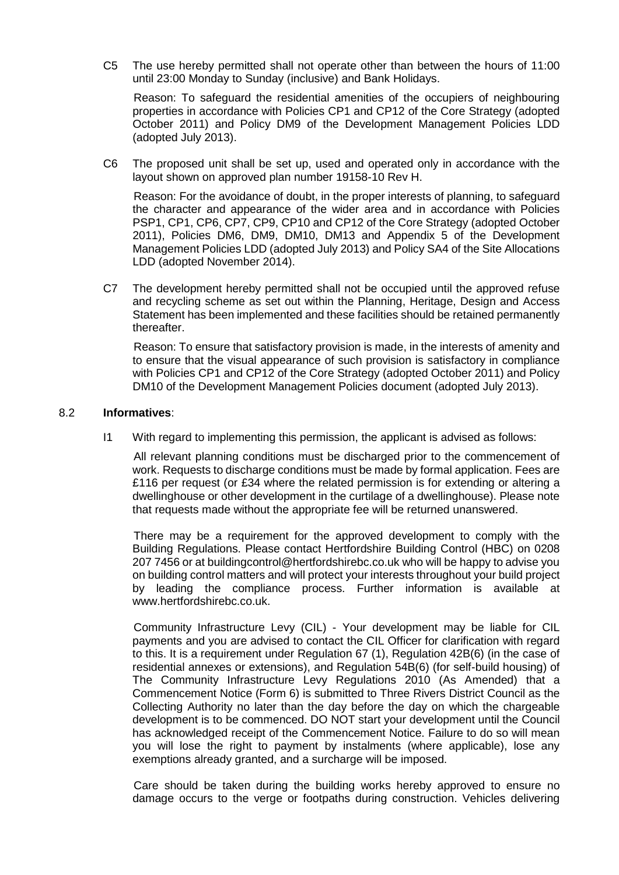C5 The use hereby permitted shall not operate other than between the hours of 11:00 until 23:00 Monday to Sunday (inclusive) and Bank Holidays.

Reason: To safeguard the residential amenities of the occupiers of neighbouring properties in accordance with Policies CP1 and CP12 of the Core Strategy (adopted October 2011) and Policy DM9 of the Development Management Policies LDD (adopted July 2013).

C6 The proposed unit shall be set up, used and operated only in accordance with the layout shown on approved plan number 19158-10 Rev H.

Reason: For the avoidance of doubt, in the proper interests of planning, to safeguard the character and appearance of the wider area and in accordance with Policies PSP1, CP1, CP6, CP7, CP9, CP10 and CP12 of the Core Strategy (adopted October 2011), Policies DM6, DM9, DM10, DM13 and Appendix 5 of the Development Management Policies LDD (adopted July 2013) and Policy SA4 of the Site Allocations LDD (adopted November 2014).

C7 The development hereby permitted shall not be occupied until the approved refuse and recycling scheme as set out within the Planning, Heritage, Design and Access Statement has been implemented and these facilities should be retained permanently thereafter.

Reason: To ensure that satisfactory provision is made, in the interests of amenity and to ensure that the visual appearance of such provision is satisfactory in compliance with Policies CP1 and CP12 of the Core Strategy (adopted October 2011) and Policy DM10 of the Development Management Policies document (adopted July 2013).

### 8.2 **Informatives**:

I1 With regard to implementing this permission, the applicant is advised as follows:

All relevant planning conditions must be discharged prior to the commencement of work. Requests to discharge conditions must be made by formal application. Fees are £116 per request (or £34 where the related permission is for extending or altering a dwellinghouse or other development in the curtilage of a dwellinghouse). Please note that requests made without the appropriate fee will be returned unanswered.

There may be a requirement for the approved development to comply with the Building Regulations. Please contact Hertfordshire Building Control (HBC) on 0208 207 7456 or at buildingcontrol@hertfordshirebc.co.uk who will be happy to advise you on building control matters and will protect your interests throughout your build project by leading the compliance process. Further information is available at www.hertfordshirebc.co.uk.

Community Infrastructure Levy (CIL) - Your development may be liable for CIL payments and you are advised to contact the CIL Officer for clarification with regard to this. It is a requirement under Regulation 67 (1), Regulation 42B(6) (in the case of residential annexes or extensions), and Regulation 54B(6) (for self-build housing) of The Community Infrastructure Levy Regulations 2010 (As Amended) that a Commencement Notice (Form 6) is submitted to Three Rivers District Council as the Collecting Authority no later than the day before the day on which the chargeable development is to be commenced. DO NOT start your development until the Council has acknowledged receipt of the Commencement Notice. Failure to do so will mean you will lose the right to payment by instalments (where applicable), lose any exemptions already granted, and a surcharge will be imposed.

Care should be taken during the building works hereby approved to ensure no damage occurs to the verge or footpaths during construction. Vehicles delivering